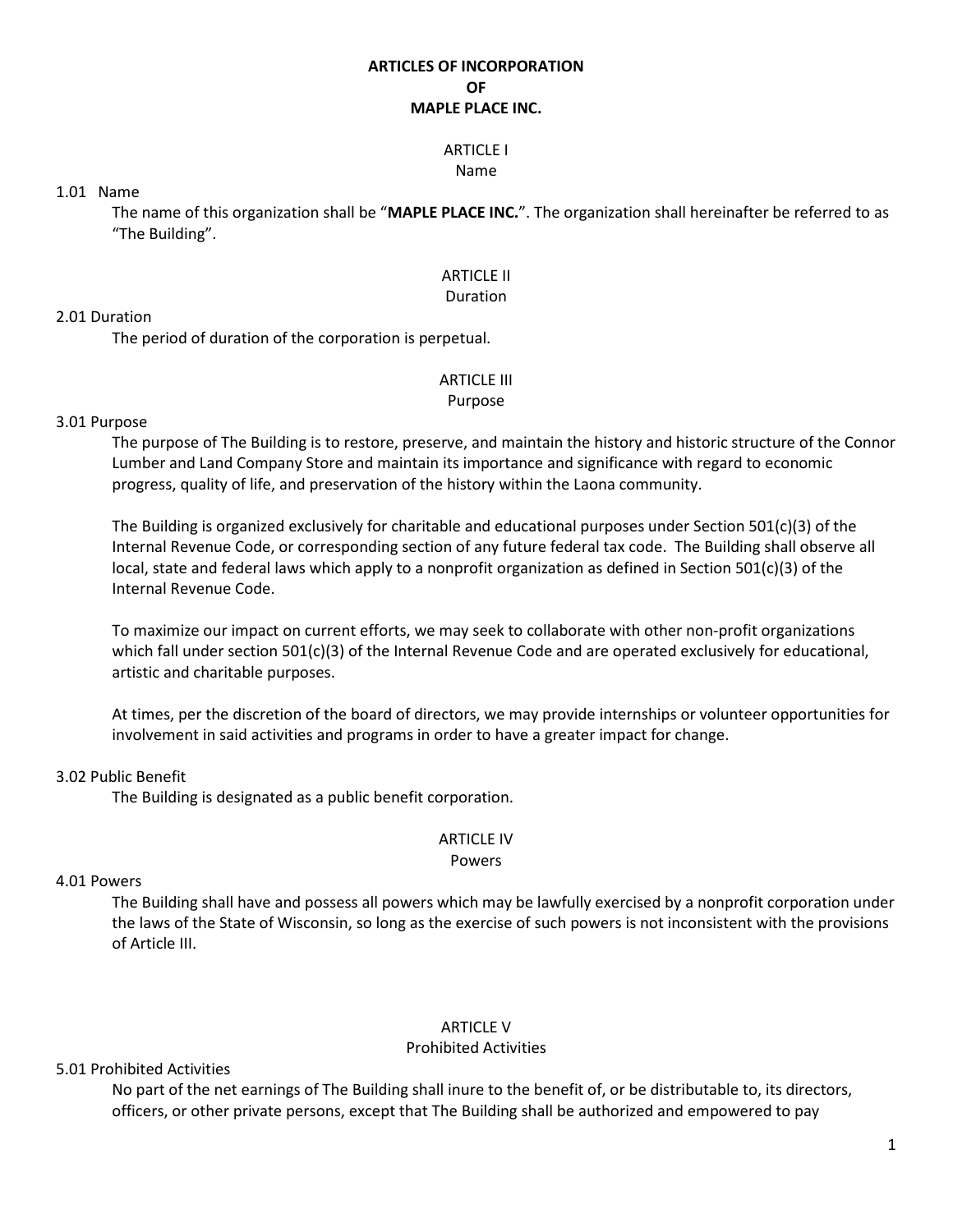#### **ARTICLES OF INCORPORATION OF MAPLE PLACE INC.**

## **ARTICLE I**

#### Name

#### 1.01 Name

The name of this organization shall be "**MAPLE PLACE INC.**". The organization shall hereinafter be referred to as "The Building".

# ARTICLE II

## Duration

#### 2.01 Duration

The period of duration of the corporation is perpetual.

## ARTICLE III

Purpose

#### 3.01 Purpose

The purpose of The Building is to restore, preserve, and maintain the history and historic structure of the Connor Lumber and Land Company Store and maintain its importance and significance with regard to economic progress, quality of life, and preservation of the history within the Laona community.

The Building is organized exclusively for charitable and educational purposes under Section 501(c)(3) of the Internal Revenue Code, or corresponding section of any future federal tax code. The Building shall observe all local, state and federal laws which apply to a nonprofit organization as defined in Section 501(c)(3) of the Internal Revenue Code.

To maximize our impact on current efforts, we may seek to collaborate with other non-profit organizations which fall under section 501(c)(3) of the Internal Revenue Code and are operated exclusively for educational, artistic and charitable purposes.

At times, per the discretion of the board of directors, we may provide internships or volunteer opportunities for involvement in said activities and programs in order to have a greater impact for change.

#### 3.02 Public Benefit

The Building is designated as a public benefit corporation.

## ARTICLE IV

#### Powers

#### 4.01 Powers

The Building shall have and possess all powers which may be lawfully exercised by a nonprofit corporation under the laws of the State of Wisconsin, so long as the exercise of such powers is not inconsistent with the provisions of Article III.

## ARTICLE V

#### Prohibited Activities

5.01 Prohibited Activities

No part of the net earnings of The Building shall inure to the benefit of, or be distributable to, its directors, officers, or other private persons, except that The Building shall be authorized and empowered to pay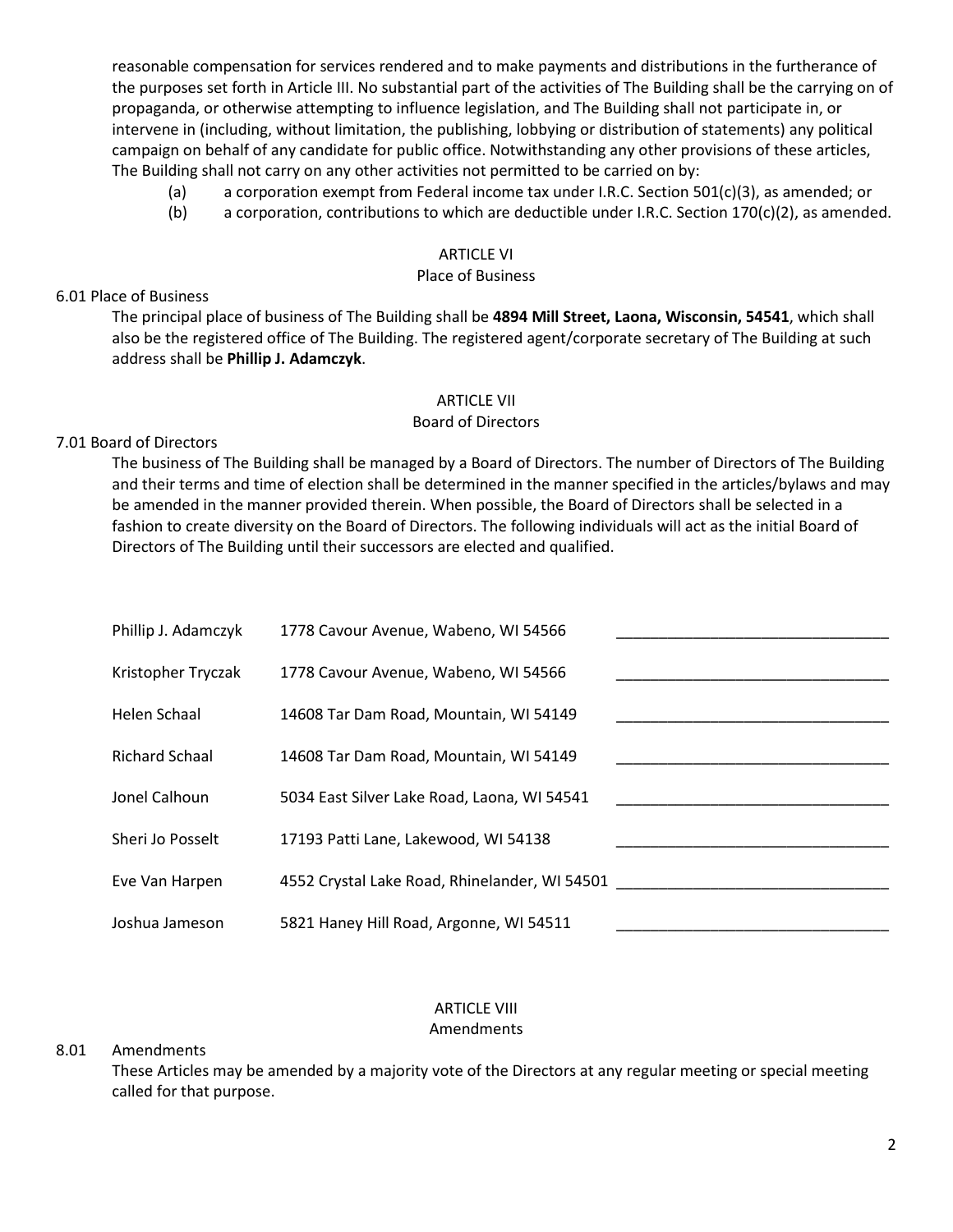reasonable compensation for services rendered and to make payments and distributions in the furtherance of the purposes set forth in Article III. No substantial part of the activities of The Building shall be the carrying on of propaganda, or otherwise attempting to influence legislation, and The Building shall not participate in, or intervene in (including, without limitation, the publishing, lobbying or distribution of statements) any political campaign on behalf of any candidate for public office. Notwithstanding any other provisions of these articles, The Building shall not carry on any other activities not permitted to be carried on by:

- (a) a corporation exempt from Federal income tax under I.R.C. Section  $501(c)(3)$ , as amended; or
- (b) a corporation, contributions to which are deductible under I.R.C. Section 170(c)(2), as amended.

#### ARTICLE VI

#### Place of Business

#### 6.01 Place of Business

The principal place of business of The Building shall be **4894 Mill Street, Laona, Wisconsin, 54541**, which shall also be the registered office of The Building. The registered agent/corporate secretary of The Building at such address shall be **Phillip J. Adamczyk**.

#### ARTICLE VII

#### Board of Directors

#### 7.01 Board of Directors

The business of The Building shall be managed by a Board of Directors. The number of Directors of The Building and their terms and time of election shall be determined in the manner specified in the articles/bylaws and may be amended in the manner provided therein. When possible, the Board of Directors shall be selected in a fashion to create diversity on the Board of Directors. The following individuals will act as the initial Board of Directors of The Building until their successors are elected and qualified.

| Phillip J. Adamczyk   | 1778 Cavour Avenue, Wabeno, WI 54566          |  |
|-----------------------|-----------------------------------------------|--|
| Kristopher Tryczak    | 1778 Cavour Avenue, Wabeno, WI 54566          |  |
| Helen Schaal          | 14608 Tar Dam Road, Mountain, WI 54149        |  |
| <b>Richard Schaal</b> | 14608 Tar Dam Road, Mountain, WI 54149        |  |
| Jonel Calhoun         | 5034 East Silver Lake Road, Laona, WI 54541   |  |
| Sheri Jo Posselt      | 17193 Patti Lane, Lakewood, WI 54138          |  |
| Eve Van Harpen        | 4552 Crystal Lake Road, Rhinelander, WI 54501 |  |
| Joshua Jameson        | 5821 Haney Hill Road, Argonne, WI 54511       |  |

#### ARTICLE VIII

#### Amendments

#### 8.01 Amendments

These Articles may be amended by a majority vote of the Directors at any regular meeting or special meeting called for that purpose.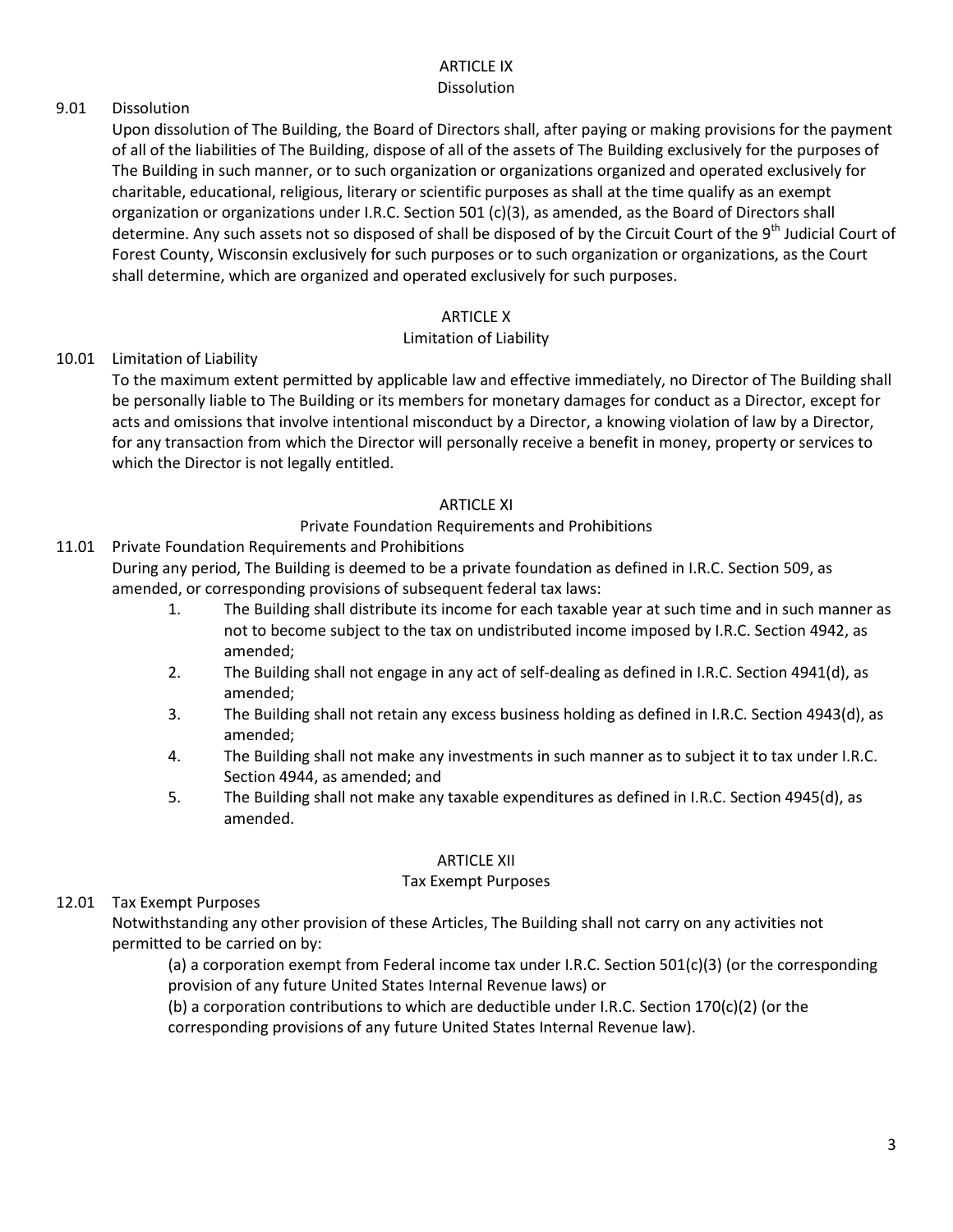#### ARTICLE IX Dissolution

## 9.01 Dissolution

Upon dissolution of The Building, the Board of Directors shall, after paying or making provisions for the payment of all of the liabilities of The Building, dispose of all of the assets of The Building exclusively for the purposes of The Building in such manner, or to such organization or organizations organized and operated exclusively for charitable, educational, religious, literary or scientific purposes as shall at the time qualify as an exempt organization or organizations under I.R.C. Section 501 (c)(3), as amended, as the Board of Directors shall determine. Any such assets not so disposed of shall be disposed of by the Circuit Court of the 9<sup>th</sup> Judicial Court of Forest County, Wisconsin exclusively for such purposes or to such organization or organizations, as the Court shall determine, which are organized and operated exclusively for such purposes.

## ARTICLE X

## Limitation of Liability

## 10.01 Limitation of Liability

To the maximum extent permitted by applicable law and effective immediately, no Director of The Building shall be personally liable to The Building or its members for monetary damages for conduct as a Director, except for acts and omissions that involve intentional misconduct by a Director, a knowing violation of law by a Director, for any transaction from which the Director will personally receive a benefit in money, property or services to which the Director is not legally entitled.

#### ARTICLE XI

## Private Foundation Requirements and Prohibitions

## 11.01 Private Foundation Requirements and Prohibitions During any period, The Building is deemed to be a private foundation as defined in I.R.C. Section 509, as amended, or corresponding provisions of subsequent federal tax laws:

- 1. The Building shall distribute its income for each taxable year at such time and in such manner as not to become subject to the tax on undistributed income imposed by I.R.C. Section 4942, as amended;
- 2. The Building shall not engage in any act of self-dealing as defined in I.R.C. Section 4941(d), as amended;
- 3. The Building shall not retain any excess business holding as defined in I.R.C. Section 4943(d), as amended;
- 4. The Building shall not make any investments in such manner as to subject it to tax under I.R.C. Section 4944, as amended; and
- 5. The Building shall not make any taxable expenditures as defined in I.R.C. Section 4945(d), as amended.

## ARTICLE XII

#### Tax Exempt Purposes

## 12.01 Tax Exempt Purposes

Notwithstanding any other provision of these Articles, The Building shall not carry on any activities not permitted to be carried on by:

(a) a corporation exempt from Federal income tax under I.R.C. Section 501(c)(3) (or the corresponding provision of any future United States Internal Revenue laws) or

(b) a corporation contributions to which are deductible under I.R.C. Section 170(c)(2) (or the corresponding provisions of any future United States Internal Revenue law).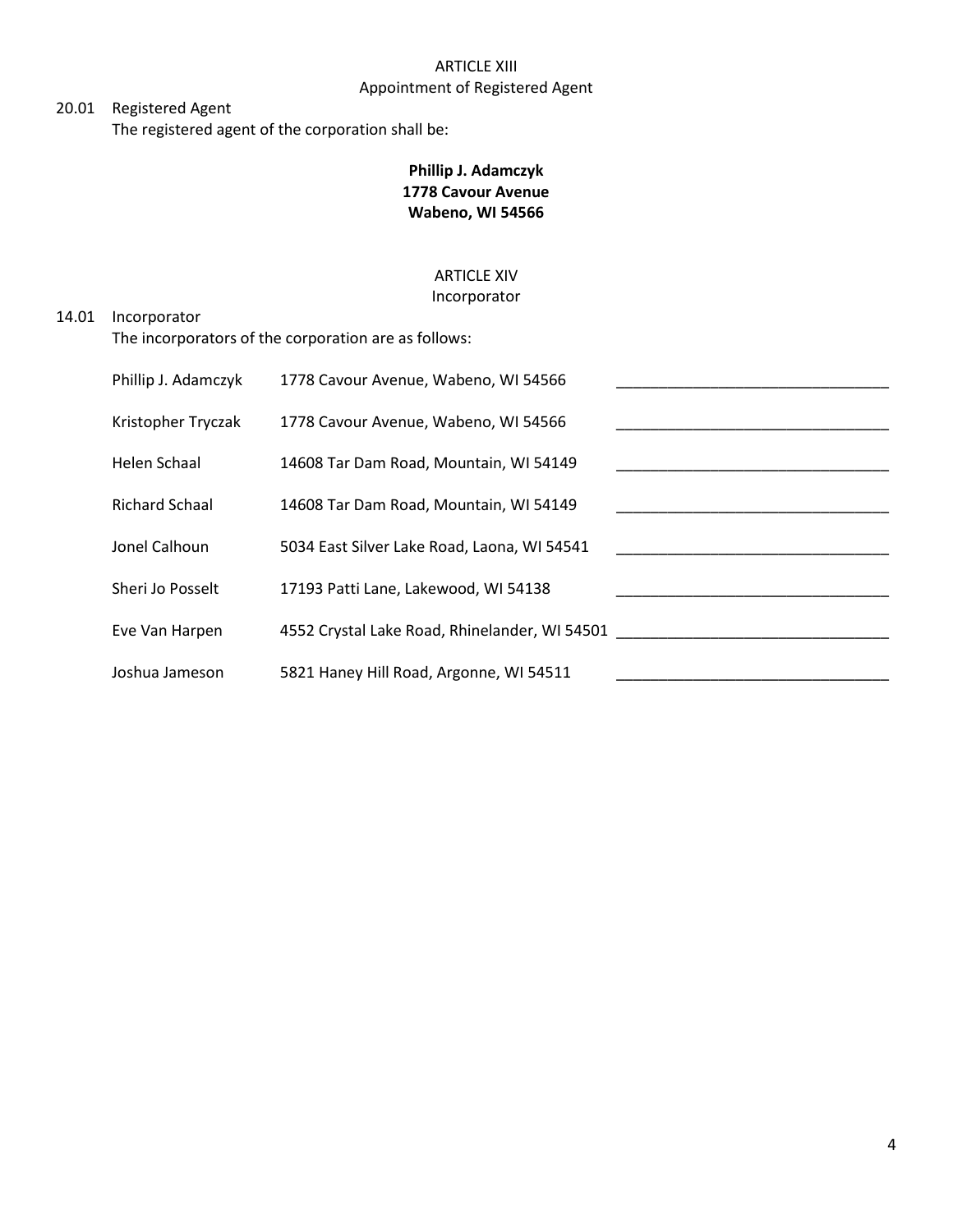#### ARTICLE XIII Appointment of Registered Agent

#### 20.01 Registered Agent

The registered agent of the corporation shall be:

## **Phillip J. Adamczyk 1778 Cavour Avenue Wabeno, WI 54566**

## ARTICLE XIV

#### Incorporator

### 14.01 Incorporator

The incorporators of the corporation are as follows:

| Phillip J. Adamczyk   | 1778 Cavour Avenue, Wabeno, WI 54566          |  |
|-----------------------|-----------------------------------------------|--|
| Kristopher Tryczak    | 1778 Cavour Avenue, Wabeno, WI 54566          |  |
| Helen Schaal          | 14608 Tar Dam Road, Mountain, WI 54149        |  |
| <b>Richard Schaal</b> | 14608 Tar Dam Road, Mountain, WI 54149        |  |
| Jonel Calhoun         | 5034 East Silver Lake Road, Laona, WI 54541   |  |
| Sheri Jo Posselt      | 17193 Patti Lane, Lakewood, WI 54138          |  |
| Eve Van Harpen        | 4552 Crystal Lake Road, Rhinelander, WI 54501 |  |
| Joshua Jameson        | 5821 Haney Hill Road, Argonne, WI 54511       |  |